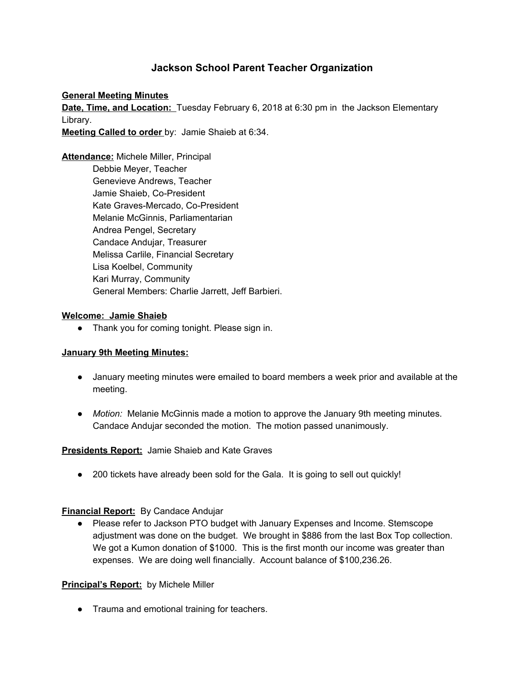# **Jackson School Parent Teacher Organization**

#### **General Meeting Minutes**

**Date, Time, and Location:** Tuesday February 6, 2018 at 6:30 pm in the Jackson Elementary Library.

**Meeting Called to order** by: Jamie Shaieb at 6:34.

**Attendance:** Michele Miller, Principal Debbie Meyer, Teacher Genevieve Andrews, Teacher Jamie Shaieb, Co-President Kate Graves-Mercado, Co-President Melanie McGinnis, Parliamentarian Andrea Pengel, Secretary Candace Andujar, Treasurer Melissa Carlile, Financial Secretary Lisa Koelbel, Community Kari Murray, Community General Members: Charlie Jarrett, Jeff Barbieri.

#### **Welcome: Jamie Shaieb**

● Thank you for coming tonight. Please sign in.

#### **January 9th Meeting Minutes:**

- January meeting minutes were emailed to board members a week prior and available at the meeting.
- *Motion:* Melanie McGinnis made a motion to approve the January 9th meeting minutes. Candace Andujar seconded the motion. The motion passed unanimously.

#### **Presidents Report:** Jamie Shaieb and Kate Graves

• 200 tickets have already been sold for the Gala. It is going to sell out quickly!

#### **Financial Report:** By Candace Andujar

● Please refer to Jackson PTO budget with January Expenses and Income. Stemscope adjustment was done on the budget. We brought in \$886 from the last Box Top collection. We got a Kumon donation of \$1000. This is the first month our income was greater than expenses. We are doing well financially. Account balance of \$100,236.26.

## **Principal's Report:** by Michele Miller

● Trauma and emotional training for teachers.